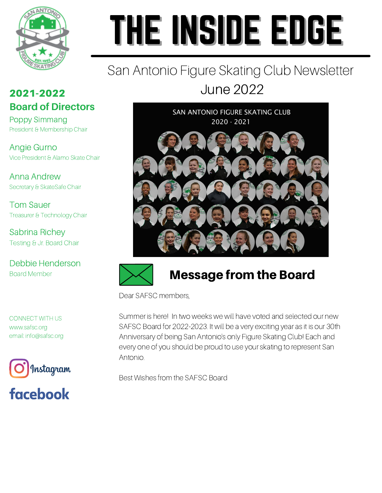

# THE INSIDE EDGE

# San Antonio Figure Skating Club Newsletter June 2022

### 2021-2022 **Board of Directors**

Poppy Simmang President & Membership Chair

Angie Gurno Vice President & Alamo Skate Chair

Anna Andrew Secretary & SkateSafe Chair

Tom Sauer Treasurer & Technology Chair

Sabrina Richey Testing & Jr. Board Chair

Debbie Henderson Board Member

CONNECT WITH US www.safsc.org email: info@safsc.org





SAN ANTONIO FIGURE SKATING CLUB 2020 - 2021





# Message from the Board

Dear SAFSC members,

Summer is here! In two weeks we will have voted and selected our new SAFSC Board for 2022-2023. It will be a very exciting year as it is our 30th Anniversary of being San Antonio's only Figure Skating Club! Each and every one of you should be proud to use your skating to represent San Antonio.

Best Wishes from the SAFSC Board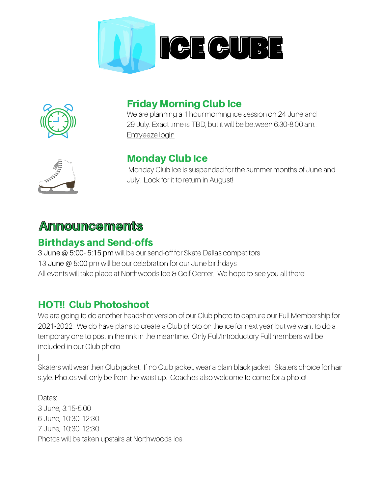



#### Friday Morning Club Ice

We are planning a 1 hour morning ice session on 24 June and 29 July. Exact time is TBD, but it will be between 6:30-8:00 am.. [Entryeeze](https://comp.entryeeze.com/Membership/Welcome.aspx?cid=325) login



j

#### Monday Club Ice

Monday Club Ice is suspended for the summer months of June and July. Look for it to return in August!

#### **Announcements**

#### Birthdays and Send-offs

3 June @ 5:00- 5:15 pm will be our send-off for Skate Dallas competitors 13 June @ 5:00 pm will be our celebration for our June birthdays All events will take place at Northwoods Ice & Golf Center. We hope to see you all there!

#### HOT!! Club Photoshoot

We are going to do another headshot version of our Club photo to capture our Full Membership for 2021-2022. We do have plans to create a Club photo on the ice for next year, but we want to do a temporary one to post in the rink in the meantime. Only Full/Introductory Full members will be included in our Club photo.

Skaters will wear their Club jacket. If no Club jacket, wear a plain black jacket. Skaters choice for hair style. Photos will only be from the waist up. Coaches also welcome to come for a photo!

Dates: 3 June, 3:15-5:00 6 June, 10:30-12:30 7 June, 10:30-12:30 Photos will be taken upstairs at Northwoods Ice.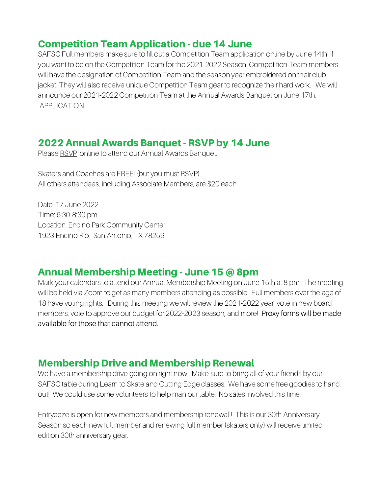#### Competition Team Application - due 14 June

SAFSC Full members make sure to fill out a Competition Team application online by June 14th if you want to be on the Competition Team for the 2021-2022 Season. Competition Team members will have the designation of Competition Team and the season year embroidered on their club jacket. They will also receive unique Competition Team gear to recognize their hard work. We will announce our 2021-2022 Competition Team at the Annual Awards Banquet on June 17th. [APPLICATION](https://www.safsc.org/competition-team)

#### 2022 Annual Awards Banquet- RSVP by 14 June

Please [RSVP](https://www.jotform.com/221453959074058) online to attend our Annual Awards Banquet.

Skaters and Coaches are FREE! (but you must RSVP). All others attendees, including Associate Members, are \$20 each.

Date: 17 June 2022 Time: 6:30-8:30 pm Location: Encino Park Community Center 1923 Encino Rio, San Antonio, TX 78259

#### Annual Membership Meeting - June 15 @ 8pm

Mark your calendars to attend our Annual Membership Meeting on June 15th at 8 pm. The meeting will be held via Zoom to get as many members attending as possible. Full members over the age of 18 have voting rights. During this meeting we will review the 2021-2022 year, vote in new board members, vote to approve our budget for 2022-2023 season, and more! Proxy forms will be made available for those that cannot attend.

#### Membership Drive and Membership Renewal

We have a membership drive going on right now. Make sure to bring all of your friends by our SAFSC table during Learn to Skate and Cutting Edge classes. We have some free goodies to hand out! We could use some volunteers to help man our table. No sales involved this time.

Entryeeze is open for new members and membership renewal!! This is our 30th Anniversary Season so each new full member and renewing full member (skaters only) will receive limited edition 30th anniversary gear.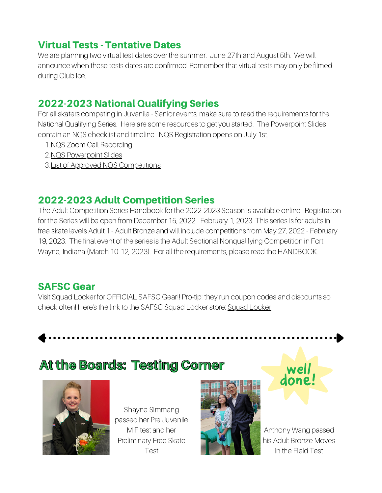#### Virtual Tests - Tentative Dates

We are planning two virtual test dates over the summer. June 27th and August 5th. We will announce when these tests dates are confirmed. Remember that virtual tests may only be filmed during Club Ice.

#### 2022-2023 National Qualifying Series

For all skaters competing in Juvenile - Senior events, make sure to read the requirements for the National Qualifying Series. Here are some resources to get you started. The Powerpoint Slides contain an NQS checklist and timeline. NQS Registration opens on July 1st.

- 1. NQS Zoom Call [Recording](https://usfigureskating-org.zoom.us/rec/play/RmnDbVOmy5DNnR5O9v6O86KM7M-ZDlhRu_0OFiMCikpJPUr0lR0IY7s6npOjTUZYGuPNsxb0f0QLbyez.UR9kgHOZUXU46X3R?continueMode=true&_x_zm_rtaid=zpArwj5UTTywx7pip9o73w.1650908491871.4130e5d34a402a62423c82405b64b8cb&_x_zm_rhtaid=643)
- 2. NQS [Powerpoint](https://www.usfigureskating.org/sites/default/files/media-files/NQS_Athlete%26CoachCall_Final.pdf) Slides
- 3. List of Approved NQS [Competitions](https://docs.google.com/spreadsheets/d/1ICUD4Dr5Hn1BSEbPuA0vWByMyDWp74ynkfdQ0Ms2B9Q/edit#gid=0)

#### 2022-2023 Adult Competition Series

The Adult Competition Series Handbook for the 2022-2023 Season is available online. Registration for the Series will be open from December 15, 2022 - February 1, 2023. This series is for adults in free skate levels Adult 1 - Adult Bronze and will include competitions from May 27, 2022 - February 19, 2023. The final event of the series is the Adult Sectional Nonqualifying Competition in Fort Wayne, Indiana (March 10-12, 2023). For all the requirements, please read the [HANDBOOK.](https://www.usfigureskating.org/sites/default/files/media-files/ACS_Handbook.pdf)

#### SAFSC Gear

Visit Squad Locker for [OFFICIAL](https://comp.entryeeze.com/Membership/Welcome.aspx?cid=325) SAFSC Gear!! Pro-tip: they run coupon codes and discounts so check often! Here's the link to the SAFSC Squad Locker store: Squad [Locker](https://teamlocker.squadlocker.com/#/lockers/san-antonio-figure-skating-club?_k=e7a1wg)

## At the Boards: Testing Corner



Shayne Simmang passed her Pre Juvenile MIF test and her Preliminary Free Skate Test





Anthony Wang passed his Adult Bronze Moves in the Field Test